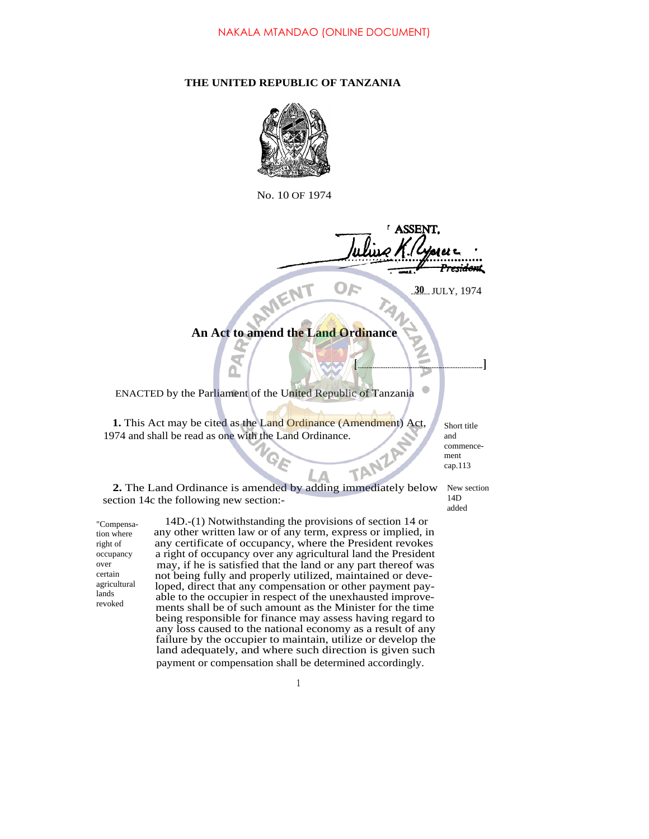## **THE UNITED REPUBLIC OF TANZANIA**



No. 10 OF 1974

**LASSEN** <del>residen</del>t

TAN

**30** JULY, 1974

**[ ]**

## **An Act to amend the Land Ordinance**

MENT

ENACTED by the Parliament of the United Republic of Tanzania

**1.** This Act may be cited as the Land Ordinance (Amendment) Act, 1974 and shall be read as one with the Land Ordinance.

Short title and commencement cap.113

14D added

**2.** The Land Ordinance is amended by adding immediately below section 14c the following new section:- New section

"Compensation where right of occupancy over certain agricultural lands revoked

14D.-(1) Notwithstanding the provisions of section 14 or any other written law or of any term, express or implied, in any certificate of occupancy, where the President revokes a right of occupancy over any agricultural land the President may, if he is satisfied that the land or any part thereof was not being fully and properly utilized, maintained or developed, direct that any compensation or other payment payable to the occupier in respect of the unexhausted improvements shall be of such amount as the Minister for the time being responsible for finance may assess having regard to any loss caused to the national economy as a result of any failure by the occupier to maintain, utilize or develop the land adequately, and where such direction is given such payment or compensation shall be determined accordingly.